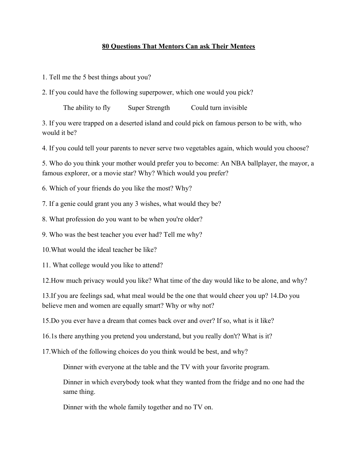## **80 Questions That Mentors Can ask Their Mentees**

1. Tell me the 5 best things about you?

2. If you could have the following superpower, which one would you pick?

The ability to fly Super Strength Could turn invisible

3. If you were trapped on a deserted island and could pick on famous person to be with, who would it be?

4. If you could tell your parents to never serve two vegetables again, which would you choose?

5. Who do you think your mother would prefer you to become: An NBA ballplayer, the mayor, a famous explorer, or a movie star? Why? Which would you prefer?

6. Which of your friends do you like the most? Why?

7. If a genie could grant you any 3 wishes, what would they be?

8. What profession do you want to be when you're older?

9. Who was the best teacher you ever had? Tell me why?

10.What would the ideal teacher be like?

11. What college would you like to attend?

12.How much privacy would you like? What time of the day would like to be alone, and why?

13.If you are feelings sad, what meal would be the one that would cheer you up? 14.Do you believe men and women are equally smart? Why or why not?

15.Do you ever have a dream that comes back over and over? If so, what is it like?

16.1s there anything you pretend you understand, but you really don't? What is it?

17.Which of the following choices do you think would be best, and why?

Dinner with everyone at the table and the TV with your favorite program.

Dinner in which everybody took what they wanted from the fridge and no one had the same thing.

Dinner with the whole family together and no TV on.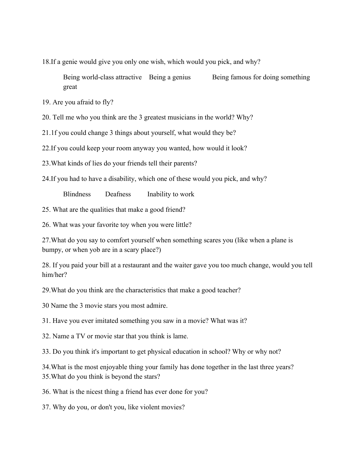18.If a genie would give you only one wish, which would you pick, and why?

Being world-class attractive Being a genius Being famous for doing something great

19. Are you afraid to fly?

20. Tell me who you think are the 3 greatest musicians in the world? Why?

21.1f you could change 3 things about yourself, what would they be?

22.If you could keep your room anyway you wanted, how would it look?

23.What kinds of lies do your friends tell their parents?

24.If you had to have a disability, which one of these would you pick, and why?

Blindness Deafness Inability to work

25. What are the qualities that make a good friend?

26. What was your favorite toy when you were little?

27.What do you say to comfort yourself when something scares you (like when a plane is bumpy, or when yob are in a scary place?)

28. If you paid your bill at a restaurant and the waiter gave you too much change, would you tell him/her?

29.What do you think are the characteristics that make a good teacher?

30 Name the 3 movie stars you most admire.

31. Have you ever imitated something you saw in a movie? What was it?

32. Name a TV or movie star that you think is lame.

33. Do you think it's important to get physical education in school? Why or why not?

34.What is the most enjoyable thing your family has done together in the last three years? 35.What do you think is beyond the stars?

36. What is the nicest thing a friend has ever done for you?

37. Why do you, or don't you, like violent movies?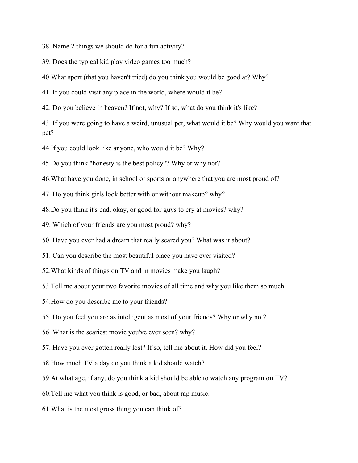38. Name 2 things we should do for a fun activity?

39. Does the typical kid play video games too much?

40.What sport (that you haven't tried) do you think you would be good at? Why?

41. If you could visit any place in the world, where would it be?

42. Do you believe in heaven? If not, why? If so, what do you think it's like?

43. If you were going to have a weird, unusual pet, what would it be? Why would you want that pet?

44.If you could look like anyone, who would it be? Why?

45.Do you think "honesty is the best policy"? Why or why not?

46.What have you done, in school or sports or anywhere that you are most proud of?

47. Do you think girls look better with or without makeup? why?

48.Do you think it's bad, okay, or good for guys to cry at movies? why?

49. Which of your friends are you most proud? why?

50. Have you ever had a dream that really scared you? What was it about?

51. Can you describe the most beautiful place you have ever visited?

52.What kinds of things on TV and in movies make you laugh?

53.Tell me about your two favorite movies of all time and why you like them so much.

54.How do you describe me to your friends?

55. Do you feel you are as intelligent as most of your friends? Why or why not?

56. What is the scariest movie you've ever seen? why?

57. Have you ever gotten really lost? If so, tell me about it. How did you feel?

58.How much TV a day do you think a kid should watch?

59.At what age, if any, do you think a kid should be able to watch any program on TV?

60.Tell me what you think is good, or bad, about rap music.

61.What is the most gross thing you can think of?